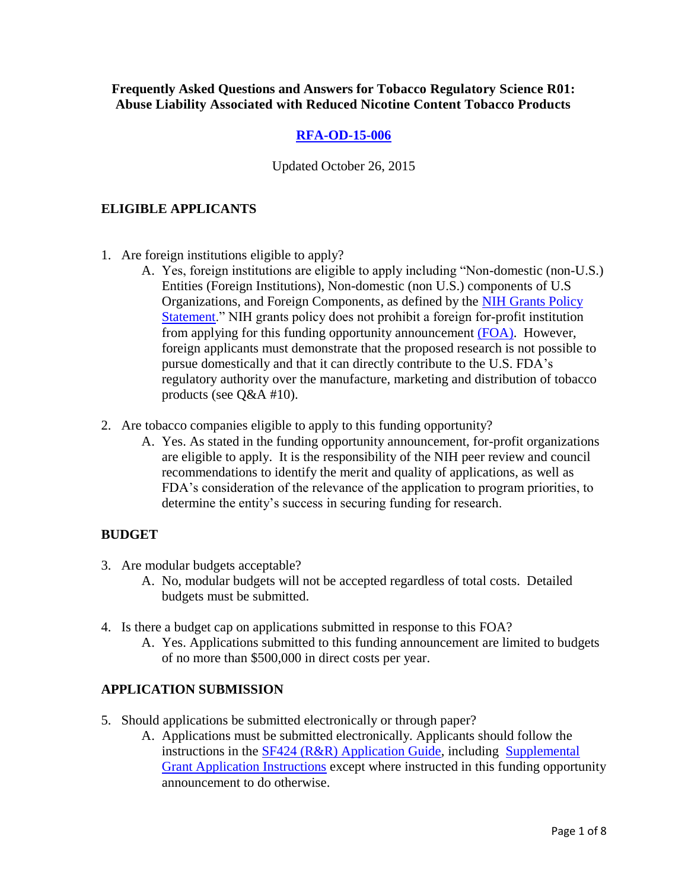**Frequently Asked Questions and Answers for Tobacco Regulatory Science R01: Abuse Liability Associated with Reduced Nicotine Content Tobacco Products**

# **[RFA-OD-15-006](http://grants.nih.gov/grants/guide/rfa-files/RFA-OD-15-006.html)**

Updated October 26, 2015

## **ELIGIBLE APPLICANTS**

- 1. Are foreign institutions eligible to apply?
	- A. Yes, foreign institutions are eligible to apply including "Non-domestic (non-U.S.) Entities (Foreign Institutions), Non-domestic (non U.S.) components of U.S Organizations, and Foreign Components, as defined by the [NIH Grants Policy](http://grants.nih.gov/grants/policy/nihgps_2011/)  [Statement.](http://grants.nih.gov/grants/policy/nihgps_2011/)" NIH grants policy does not prohibit a foreign for-profit institution from applying for this funding opportunity announcement [\(FOA\).](http://grants.nih.gov/grants/guide/rfa-files/RFA-OD-15-006.html) However, foreign applicants must demonstrate that the proposed research is not possible to pursue domestically and that it can directly contribute to the U.S. FDA's regulatory authority over the manufacture, marketing and distribution of tobacco products (see Q&A #10).
- 2. Are tobacco companies eligible to apply to this funding opportunity?
	- A. Yes. As stated in the funding opportunity announcement, for-profit organizations are eligible to apply. It is the responsibility of the NIH peer review and council recommendations to identify the merit and quality of applications, as well as FDA's consideration of the relevance of the application to program priorities, to determine the entity's success in securing funding for research.

### **BUDGET**

- 3. Are modular budgets acceptable?
	- A. No, modular budgets will not be accepted regardless of total costs. Detailed budgets must be submitted.
- 4. Is there a budget cap on applications submitted in response to this FOA?
	- A. Yes. Applications submitted to this funding announcement are limited to budgets of no more than \$500,000 in direct costs per year.

### **APPLICATION SUBMISSION**

- 5. Should applications be submitted electronically or through paper?
	- A. Applications must be submitted electronically. Applicants should follow the instructions in the [SF424 \(R&R\) Application Guide,](http://grants.nih.gov/grants/guide/url_redirect.htm?id=12000) including [Supplemental](https://grants.nih.gov/grants/funding/424/SupplementalInstructions.pdf)  [Grant Application Instructions](https://grants.nih.gov/grants/funding/424/SupplementalInstructions.pdf) except where instructed in this funding opportunity announcement to do otherwise.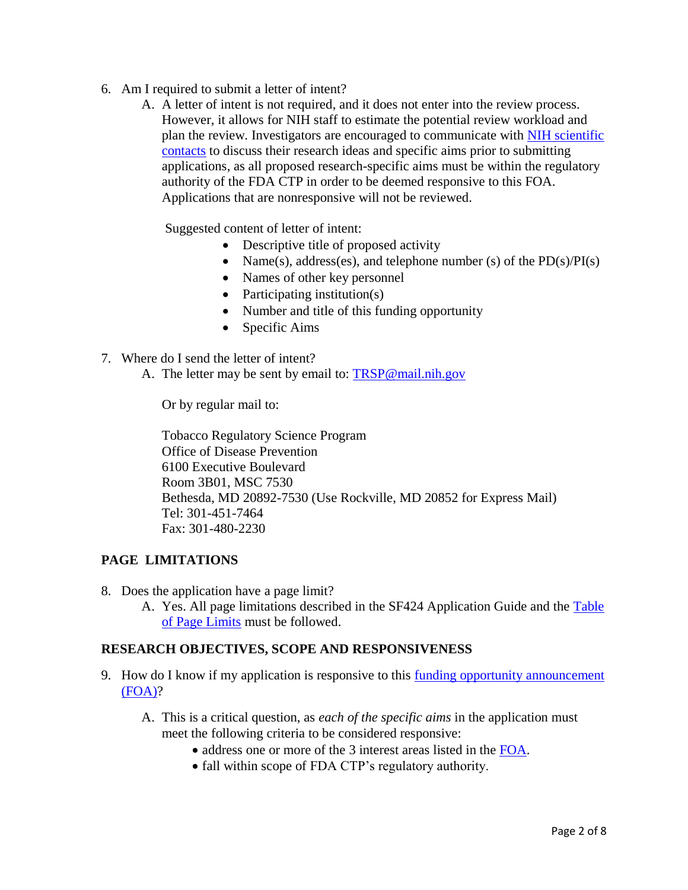- 6. Am I required to submit a letter of intent?
	- A. A letter of intent is not required, and it does not enter into the review process. However, it allows for NIH staff to estimate the potential review workload and plan the review. Investigators are encouraged to communicate with NIH scientific [contacts](http://grants.nih.gov/grants/guide/rfa-files/RFA-OD-15-006.html#_Section_VII._Agency) to discuss their research ideas and specific aims prior to submitting applications, as all proposed research-specific aims must be within the regulatory authority of the FDA CTP in order to be deemed responsive to this FOA. Applications that are nonresponsive will not be reviewed.

Suggested content of letter of intent:

- Descriptive title of proposed activity
- Name(s), address(es), and telephone number (s) of the  $PD(s)/PI(s)$
- Names of other key personnel
- Participating institution $(s)$
- Number and title of this funding opportunity
- Specific Aims
- 7. Where do I send the letter of intent?
	- A. The letter may be sent by email to: [TRSP@mail.nih.gov](mailto:TRSP@mail.nih.gov)

Or by regular mail to:

Tobacco Regulatory Science Program Office of Disease Prevention 6100 Executive Boulevard Room 3B01, MSC 7530 Bethesda, MD 20892-7530 (Use Rockville, MD 20852 for Express Mail) Tel: 301-451-7464 Fax: 301-480-2230

### **PAGE LIMITATIONS**

- 8. Does the application have a page limit?
	- A. Yes. All page limitations described in the SF424 Application Guide and the [Table](http://grants.nih.gov/grants/guide/url_redirect.htm?id=11133)  [of Page Limits](http://grants.nih.gov/grants/guide/url_redirect.htm?id=11133) must be followed.

### **RESEARCH OBJECTIVES, SCOPE AND RESPONSIVENESS**

- 9. How do I know if my application is responsive to this [funding opportunity announcement](http://grants.nih.gov/grants/guide/rfa-files/RFA-OD-15-006.html)  [\(FOA\)?](http://grants.nih.gov/grants/guide/rfa-files/RFA-OD-15-006.html)
	- A. This is a critical question, as *each of the specific aims* in the application must meet the following criteria to be considered responsive:
		- address one or more of the 3 interest areas listed in the [FOA.](http://grants.nih.gov/grants/guide/rfa-files/RFA-OD-15-006.html)
		- fall within scope of FDA CTP's regulatory authority.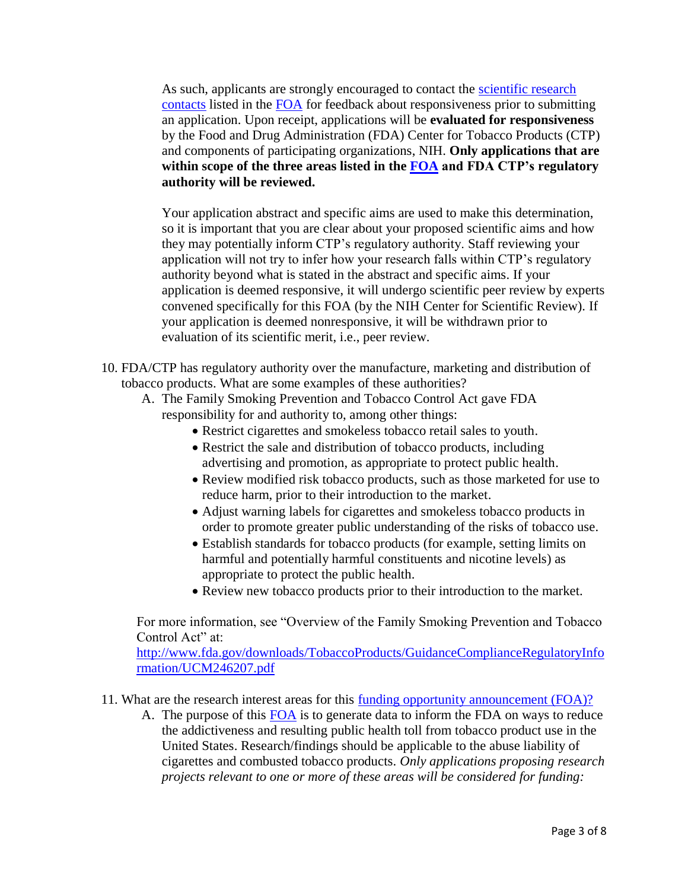As such, applicants are strongly encouraged to contact the [scientific research](http://grants.nih.gov/grants/guide/rfa-files/RFA-OD-15-006.html#_Section_VII._Agency)  [contacts](http://grants.nih.gov/grants/guide/rfa-files/RFA-OD-15-006.html#_Section_VII._Agency) listed in the [FOA](http://grants.nih.gov/grants/guide/rfa-files/RFA-OD-15-006.html) for feedback about responsiveness prior to submitting an application. Upon receipt, applications will be **evaluated for responsiveness** by the Food and Drug Administration (FDA) Center for Tobacco Products (CTP) and components of participating organizations, NIH. **Only applications that are within scope of the three areas listed in the [FOA](http://grants.nih.gov/grants/guide/rfa-files/RFA-OD-15-006.html) and FDA CTP's regulatory authority will be reviewed.** 

Your application abstract and specific aims are used to make this determination, so it is important that you are clear about your proposed scientific aims and how they may potentially inform CTP's regulatory authority. Staff reviewing your application will not try to infer how your research falls within CTP's regulatory authority beyond what is stated in the abstract and specific aims. If your application is deemed responsive, it will undergo scientific peer review by experts convened specifically for this FOA (by the NIH Center for Scientific Review). If your application is deemed nonresponsive, it will be withdrawn prior to evaluation of its scientific merit, i.e., peer review.

- 10. FDA/CTP has regulatory authority over the manufacture, marketing and distribution of tobacco products. What are some examples of these authorities?
	- A. The Family Smoking Prevention and Tobacco Control Act gave FDA responsibility for and authority to, among other things:
		- Restrict cigarettes and smokeless tobacco retail sales to youth.
		- Restrict the sale and distribution of tobacco products, including advertising and promotion, as appropriate to protect public health.
		- Review modified risk tobacco products, such as those marketed for use to reduce harm, prior to their introduction to the market.
		- Adjust warning labels for cigarettes and smokeless tobacco products in order to promote greater public understanding of the risks of tobacco use.
		- Establish standards for tobacco products (for example, setting limits on harmful and potentially harmful constituents and nicotine levels) as appropriate to protect the public health.
		- Review new tobacco products prior to their introduction to the market.

For more information, see "Overview of the Family Smoking Prevention and Tobacco Control Act" at:

[http://www.fda.gov/downloads/TobaccoProducts/GuidanceComplianceRegulatoryInfo](http://www.fda.gov/downloads/TobaccoProducts/GuidanceComplianceRegulatoryInformation/UCM246207.pdf) [rmation/UCM246207.pdf](http://www.fda.gov/downloads/TobaccoProducts/GuidanceComplianceRegulatoryInformation/UCM246207.pdf)

- 11. What are the research interest areas for this [funding opportunity announcement \(FOA\)?](http://grants.nih.gov/grants/guide/rfa-files/RFA-OD-15-006.html)
	- A. The purpose of this [FOA](http://grants.nih.gov/grants/guide/rfa-files/RFA-OD-15-006.html) is to generate data to inform the FDA on ways to reduce the addictiveness and resulting public health toll from tobacco product use in the United States. Research/findings should be applicable to the abuse liability of cigarettes and combusted tobacco products. *Only applications proposing research projects relevant to one or more of these areas will be considered for funding:*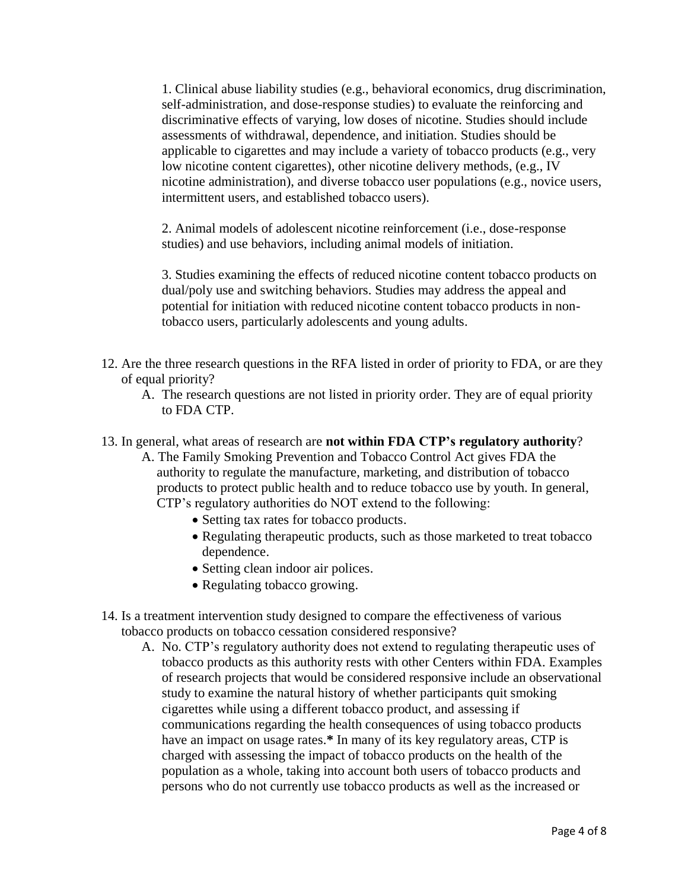1. Clinical abuse liability studies (e.g., behavioral economics, drug discrimination, self-administration, and dose-response studies) to evaluate the reinforcing and discriminative effects of varying, low doses of nicotine. Studies should include assessments of withdrawal, dependence, and initiation. Studies should be applicable to cigarettes and may include a variety of tobacco products (e.g., very low nicotine content cigarettes), other nicotine delivery methods, (e.g., IV nicotine administration), and diverse tobacco user populations (e.g., novice users, intermittent users, and established tobacco users).

2. Animal models of adolescent nicotine reinforcement (i.e., dose-response studies) and use behaviors, including animal models of initiation.

3. Studies examining the effects of reduced nicotine content tobacco products on dual/poly use and switching behaviors. Studies may address the appeal and potential for initiation with reduced nicotine content tobacco products in nontobacco users, particularly adolescents and young adults.

- 12. Are the three research questions in the RFA listed in order of priority to FDA, or are they of equal priority?
	- A. The research questions are not listed in priority order. They are of equal priority to FDA CTP.

#### 13. In general, what areas of research are **not within FDA CTP's regulatory authority**?

- A. The Family Smoking Prevention and Tobacco Control Act gives FDA the authority to regulate the manufacture, marketing, and distribution of tobacco products to protect public health and to reduce tobacco use by youth. In general, CTP's regulatory authorities do NOT extend to the following:
	- Setting tax rates for tobacco products.
	- Regulating therapeutic products, such as those marketed to treat tobacco dependence.
	- Setting clean indoor air polices.
	- Regulating tobacco growing.
- 14. Is a treatment intervention study designed to compare the effectiveness of various tobacco products on tobacco cessation considered responsive?
	- A. No. CTP's regulatory authority does not extend to regulating therapeutic uses of tobacco products as this authority rests with other Centers within FDA. Examples of research projects that would be considered responsive include an observational study to examine the natural history of whether participants quit smoking cigarettes while using a different tobacco product, and assessing if communications regarding the health consequences of using tobacco products have an impact on usage rates.**\*** In many of its key regulatory areas, CTP is charged with assessing the impact of tobacco products on the health of the population as a whole, taking into account both users of tobacco products and persons who do not currently use tobacco products as well as the increased or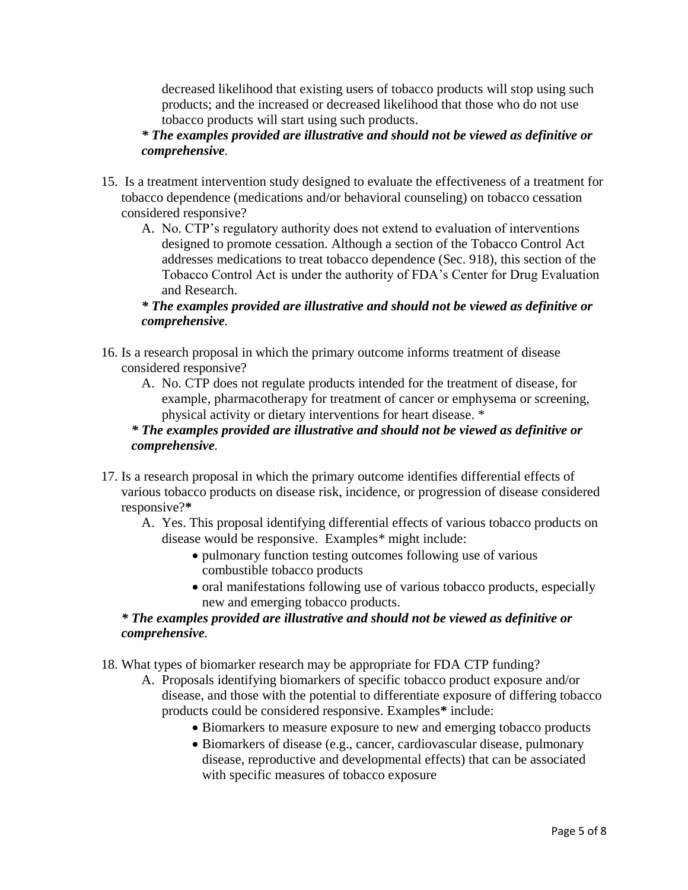decreased likelihood that existing users of tobacco products will stop using such products; and the increased or decreased likelihood that those who do not use tobacco products will start using such products.

# *\* The examples provided are illustrative and should not be viewed as definitive or comprehensive.*

- 15. Is a treatment intervention study designed to evaluate the effectiveness of a treatment for tobacco dependence (medications and/or behavioral counseling) on tobacco cessation considered responsive?
	- A. No. CTP's regulatory authority does not extend to evaluation of interventions designed to promote cessation. Although a section of the Tobacco Control Act addresses medications to treat tobacco dependence (Sec. 918), this section of the Tobacco Control Act is under the authority of FDA's Center for Drug Evaluation and Research.

# *\* The examples provided are illustrative and should not be viewed as definitive or comprehensive.*

- 16. Is a research proposal in which the primary outcome informs treatment of disease considered responsive?
	- A. No. CTP does not regulate products intended for the treatment of disease, for example, pharmacotherapy for treatment of cancer or emphysema or screening, physical activity or dietary interventions for heart disease. \*

# *\* The examples provided are illustrative and should not be viewed as definitive or comprehensive.*

- 17. Is a research proposal in which the primary outcome identifies differential effects of various tobacco products on disease risk, incidence, or progression of disease considered responsive?**\***
	- A. Yes. This proposal identifying differential effects of various tobacco products on disease would be responsive. Examples\* might include:
		- pulmonary function testing outcomes following use of various combustible tobacco products
		- oral manifestations following use of various tobacco products, especially new and emerging tobacco products.

# *\* The examples provided are illustrative and should not be viewed as definitive or comprehensive.*

18. What types of biomarker research may be appropriate for FDA CTP funding?

- A. Proposals identifying biomarkers of specific tobacco product exposure and/or disease, and those with the potential to differentiate exposure of differing tobacco products could be considered responsive. Examples**\*** include:
	- Biomarkers to measure exposure to new and emerging tobacco products
	- Biomarkers of disease (e.g., cancer, cardiovascular disease, pulmonary disease, reproductive and developmental effects) that can be associated with specific measures of tobacco exposure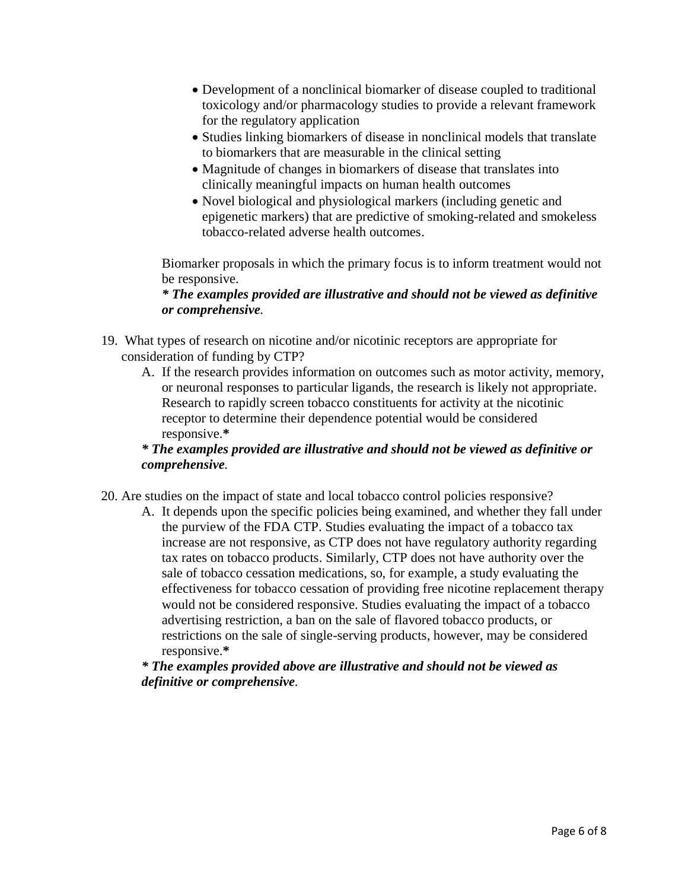- Development of a nonclinical biomarker of disease coupled to traditional toxicology and/or pharmacology studies to provide a relevant framework for the regulatory application
- Studies linking biomarkers of disease in nonclinical models that translate to biomarkers that are measurable in the clinical setting
- Magnitude of changes in biomarkers of disease that translates into clinically meaningful impacts on human health outcomes
- Novel biological and physiological markers (including genetic and epigenetic markers) that are predictive of smoking-related and smokeless tobacco-related adverse health outcomes.

Biomarker proposals in which the primary focus is to inform treatment would not be responsive.

## *\* The examples provided are illustrative and should not be viewed as definitive or comprehensive.*

- 19. What types of research on nicotine and/or nicotinic receptors are appropriate for consideration of funding by CTP?
	- A. If the research provides information on outcomes such as motor activity, memory, or neuronal responses to particular ligands, the research is likely not appropriate. Research to rapidly screen tobacco constituents for activity at the nicotinic receptor to determine their dependence potential would be considered responsive.**\***

# *\* The examples provided are illustrative and should not be viewed as definitive or comprehensive.*

- 20. Are studies on the impact of state and local tobacco control policies responsive?
	- A. It depends upon the specific policies being examined, and whether they fall under the purview of the FDA CTP. Studies evaluating the impact of a tobacco tax increase are not responsive, as CTP does not have regulatory authority regarding tax rates on tobacco products. Similarly, CTP does not have authority over the sale of tobacco cessation medications, so, for example, a study evaluating the effectiveness for tobacco cessation of providing free nicotine replacement therapy would not be considered responsive. Studies evaluating the impact of a tobacco advertising restriction, a ban on the sale of flavored tobacco products, or restrictions on the sale of single-serving products, however, may be considered responsive.**\***

*\* The examples provided above are illustrative and should not be viewed as definitive or comprehensive.*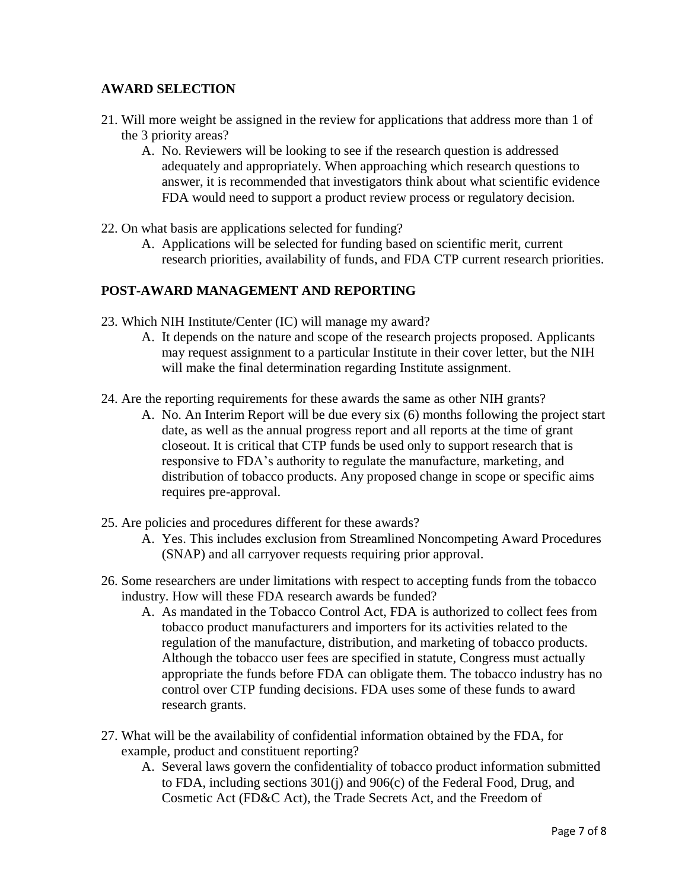# **AWARD SELECTION**

- 21. Will more weight be assigned in the review for applications that address more than 1 of the 3 priority areas?
	- A. No. Reviewers will be looking to see if the research question is addressed adequately and appropriately. When approaching which research questions to answer, it is recommended that investigators think about what scientific evidence FDA would need to support a product review process or regulatory decision.
- 22. On what basis are applications selected for funding?
	- A. Applications will be selected for funding based on scientific merit, current research priorities, availability of funds, and FDA CTP current research priorities.

# **POST-AWARD MANAGEMENT AND REPORTING**

- 23. Which NIH Institute/Center (IC) will manage my award?
	- A. It depends on the nature and scope of the research projects proposed. Applicants may request assignment to a particular Institute in their cover letter, but the NIH will make the final determination regarding Institute assignment.
- 24. Are the reporting requirements for these awards the same as other NIH grants?
	- A. No. An Interim Report will be due every six (6) months following the project start date, as well as the annual progress report and all reports at the time of grant closeout. It is critical that CTP funds be used only to support research that is responsive to FDA's authority to regulate the manufacture, marketing, and distribution of tobacco products. Any proposed change in scope or specific aims requires pre-approval.
- 25. Are policies and procedures different for these awards?
	- A. Yes. This includes exclusion from Streamlined Noncompeting Award Procedures (SNAP) and all carryover requests requiring prior approval.
- 26. Some researchers are under limitations with respect to accepting funds from the tobacco industry. How will these FDA research awards be funded?
	- A. As mandated in the Tobacco Control Act, FDA is authorized to collect fees from tobacco product manufacturers and importers for its activities related to the regulation of the manufacture, distribution, and marketing of tobacco products. Although the tobacco user fees are specified in statute, Congress must actually appropriate the funds before FDA can obligate them. The tobacco industry has no control over CTP funding decisions. FDA uses some of these funds to award research grants.
- 27. What will be the availability of confidential information obtained by the FDA, for example, product and constituent reporting?
	- A. Several laws govern the confidentiality of tobacco product information submitted to FDA, including sections 301(j) and 906(c) of the Federal Food, Drug, and Cosmetic Act (FD&C Act), the Trade Secrets Act, and the Freedom of